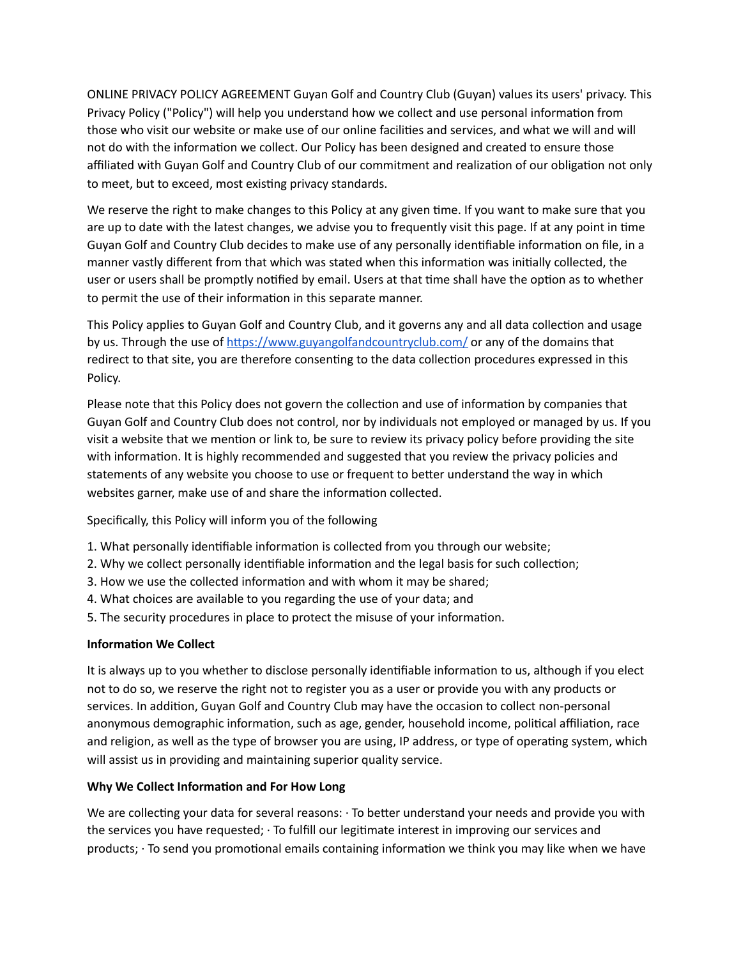ONLINE PRIVACY POLICY AGREEMENT Guyan Golf and Country Club (Guyan) values its users' privacy. This Privacy Policy ("Policy") will help you understand how we collect and use personal information from those who visit our website or make use of our online facilities and services, and what we will and will not do with the information we collect. Our Policy has been designed and created to ensure those affiliated with Guyan Golf and Country Club of our commitment and realization of our obligation not only to meet, but to exceed, most existing privacy standards.

We reserve the right to make changes to this Policy at any given time. If you want to make sure that you are up to date with the latest changes, we advise you to frequently visit this page. If at any point in time Guyan Golf and Country Club decides to make use of any personally identifiable information on file, in a manner vastly different from that which was stated when this information was initially collected, the user or users shall be promptly notified by email. Users at that time shall have the option as to whether to permit the use of their information in this separate manner.

This Policy applies to Guyan Golf and Country Club, and it governs any and all data collection and usage by us. Through the use of https://www.guyangolfandcountryclub.com/ or any of the domains that redirect to that site, you are therefore consenting to the data collection procedures expressed in this Policy.

Please note that this Policy does not govern the collection and use of information by companies that Guyan Golf and Country Club does not control, nor by individuals not employed or managed by us. If you visit a website that we mention or link to, be sure to review its privacy policy before providing the site with information. It is highly recommended and suggested that you review the privacy policies and statements of any website you choose to use or frequent to better understand the way in which websites garner, make use of and share the information collected.

Specifically, this Policy will inform you of the following

- 1. What personally identifiable information is collected from you through our website;
- 2. Why we collect personally identifiable information and the legal basis for such collection;
- 3. How we use the collected information and with whom it may be shared;
- 4. What choices are available to you regarding the use of your data; and
- 5. The security procedures in place to protect the misuse of your information.

## **Information We Collect**

It is always up to you whether to disclose personally identifiable information to us, although if you elect not to do so, we reserve the right not to register you as a user or provide you with any products or services. In addition, Guyan Golf and Country Club may have the occasion to collect non-personal anonymous demographic information, such as age, gender, household income, political affiliation, race and religion, as well as the type of browser you are using, IP address, or type of operating system, which will assist us in providing and maintaining superior quality service.

## **Why** We Collect Information and For How Long

We are collecting your data for several reasons:  $\cdot$  To better understand your needs and provide you with the services you have requested; · To fulfill our legitimate interest in improving our services and products;  $\cdot$  To send you promotional emails containing information we think you may like when we have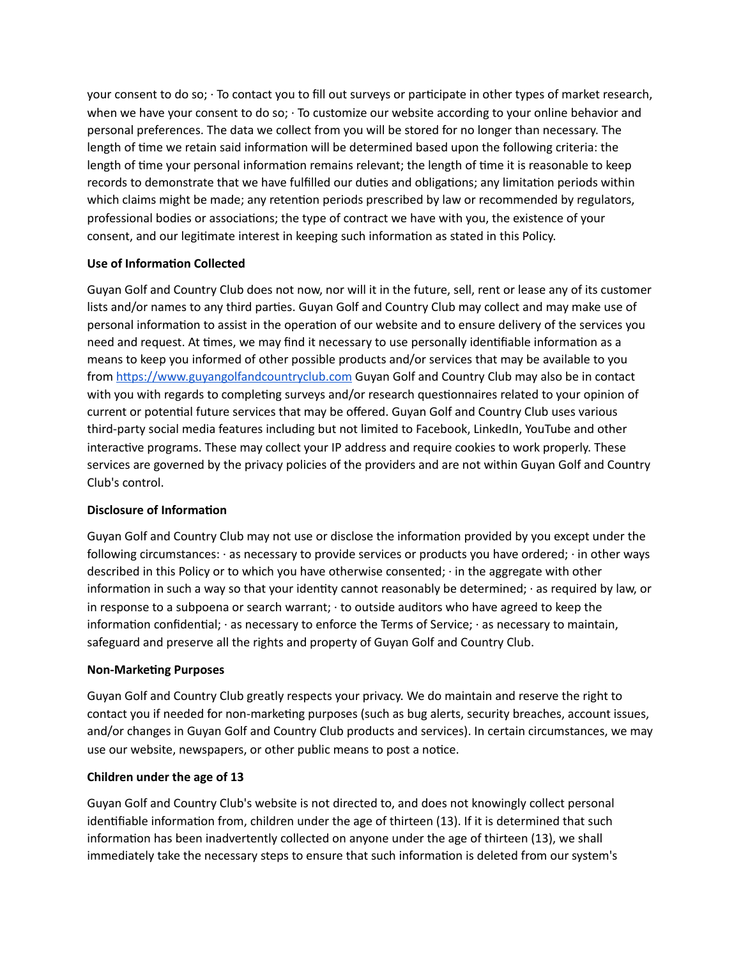your consent to do so; · To contact you to fill out surveys or parcipate in other types of market research, when we have your consent to do so; · To customize our website according to your online behavior and personal preferences. The data we collect from you will be stored for no longer than necessary. The length of time we retain said information will be determined based upon the following criteria: the length of time your personal information remains relevant; the length of time it is reasonable to keep records to demonstrate that we have fulfilled our duties and obligations; any limitation periods within which claims might be made; any retention periods prescribed by law or recommended by regulators, professional bodies or associations; the type of contract we have with you, the existence of your consent, and our legitimate interest in keeping such information as stated in this Policy.

# **Use of Information Collected**

Guyan Golf and Country Club does not now, nor will it in the future, sell, rent or lease any of its customer lists and/or names to any third parties. Guyan Golf and Country Club may collect and may make use of personal information to assist in the operation of our website and to ensure delivery of the services you need and request. At times, we may find it necessary to use personally identifiable information as a means to keep you informed of other possible products and/or services that may be available to you from https://www.guyangolfandcountryclub.com Guyan Golf and Country Club may also be in contact with you with regards to completing surveys and/or research questionnaires related to your opinion of current or potential future services that may be offered. Guyan Golf and Country Club uses various third-party social media features including but not limited to Facebook, LinkedIn, YouTube and other interactive programs. These may collect your IP address and require cookies to work properly. These services are governed by the privacy policies of the providers and are not within Guyan Golf and Country Club's control.

## **Disclosure of Information**

Guyan Golf and Country Club may not use or disclose the information provided by you except under the following circumstances: · as necessary to provide services or products you have ordered; · in other ways described in this Policy or to which you have otherwise consented; · in the aggregate with other information in such a way so that your identity cannot reasonably be determined;  $\cdot$  as required by law, or in response to a subpoena or search warrant; · to outside auditors who have agreed to keep the information confidential;  $\cdot$  as necessary to enforce the Terms of Service;  $\cdot$  as necessary to maintain, safeguard and preserve all the rights and property of Guyan Golf and Country Club.

## **Non-Marketing Purposes**

Guyan Golf and Country Club greatly respects your privacy. We do maintain and reserve the right to contact you if needed for non-marketing purposes (such as bug alerts, security breaches, account issues, and/or changes in Guyan Golf and Country Club products and services). In certain circumstances, we may use our website, newspapers, or other public means to post a notice.

## **Children under the age of 13**

Guyan Golf and Country Club's website is not directed to, and does not knowingly collect personal identifiable information from, children under the age of thirteen (13). If it is determined that such information has been inadvertently collected on anyone under the age of thirteen (13), we shall immediately take the necessary steps to ensure that such information is deleted from our system's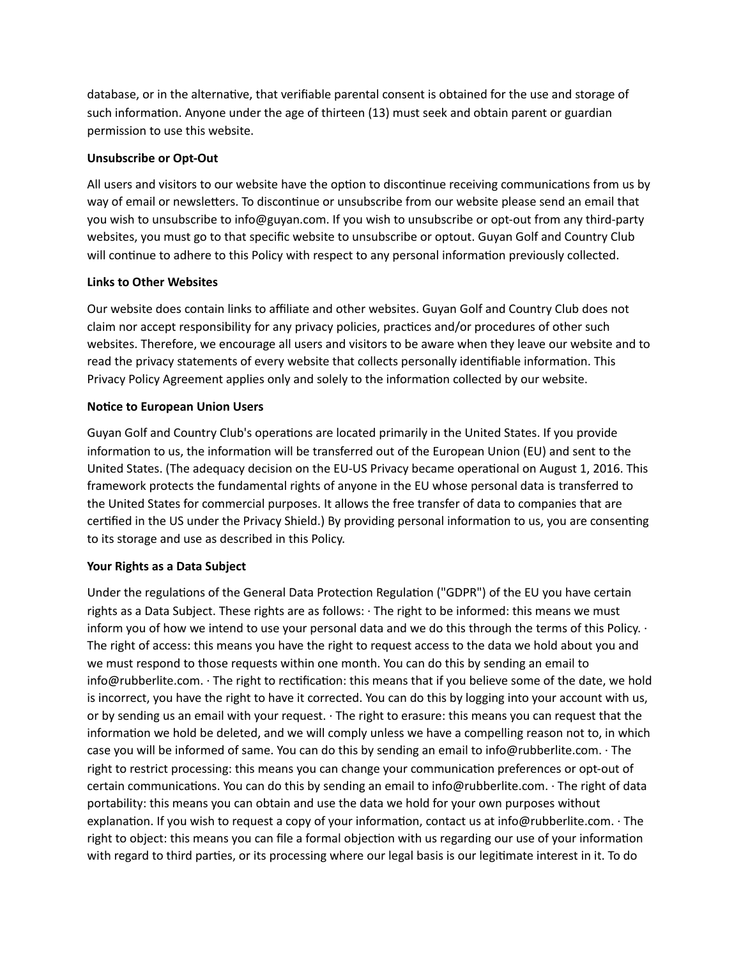database, or in the alternative, that verifiable parental consent is obtained for the use and storage of such information. Anyone under the age of thirteen (13) must seek and obtain parent or guardian permission to use this website.

## **Unsubscribe or Opt-Out**

All users and visitors to our website have the option to discontinue receiving communications from us by way of email or newsletters. To discontinue or unsubscribe from our website please send an email that you wish to unsubscribe to info@guyan.com. If you wish to unsubscribe or opt-out from any third-party websites, you must go to that specific website to unsubscribe or optout. Guyan Golf and Country Club will continue to adhere to this Policy with respect to any personal information previously collected.

## **Links to Other Websites**

Our website does contain links to affiliate and other websites. Guyan Golf and Country Club does not claim nor accept responsibility for any privacy policies, practices and/or procedures of other such websites. Therefore, we encourage all users and visitors to be aware when they leave our website and to read the privacy statements of every website that collects personally identifiable information. This Privacy Policy Agreement applies only and solely to the information collected by our website.

## **Noce to European Union Users**

Guyan Golf and Country Club's operations are located primarily in the United States. If you provide information to us, the information will be transferred out of the European Union (EU) and sent to the United States. (The adequacy decision on the EU-US Privacy became operational on August 1, 2016. This framework protects the fundamental rights of anyone in the EU whose personal data is transferred to the United States for commercial purposes. It allows the free transfer of data to companies that are certified in the US under the Privacy Shield.) By providing personal information to us, you are consenting to its storage and use as described in this Policy.

# **Your Rights as a Data Subject**

Under the regulations of the General Data Protection Regulation ("GDPR") of the EU you have certain rights as a Data Subject. These rights are as follows: · The right to be informed: this means we must inform you of how we intend to use your personal data and we do this through the terms of this Policy. · The right of access: this means you have the right to request access to the data we hold about you and we must respond to those requests within one month. You can do this by sending an email to info@rubberlite.com. · The right to rectification: this means that if you believe some of the date, we hold is incorrect, you have the right to have it corrected. You can do this by logging into your account with us, or by sending us an email with your request. · The right to erasure: this means you can request that the information we hold be deleted, and we will comply unless we have a compelling reason not to, in which case you will be informed of same. You can do this by sending an email to info@rubberlite.com. · The right to restrict processing: this means you can change your communication preferences or opt-out of certain communications. You can do this by sending an email to info@rubberlite.com.  $\cdot$  The right of data portability: this means you can obtain and use the data we hold for your own purposes without explanation. If you wish to request a copy of your information, contact us at info@rubberlite.com.  $\cdot$  The right to object: this means you can file a formal objection with us regarding our use of your information with regard to third parties, or its processing where our legal basis is our legitimate interest in it. To do